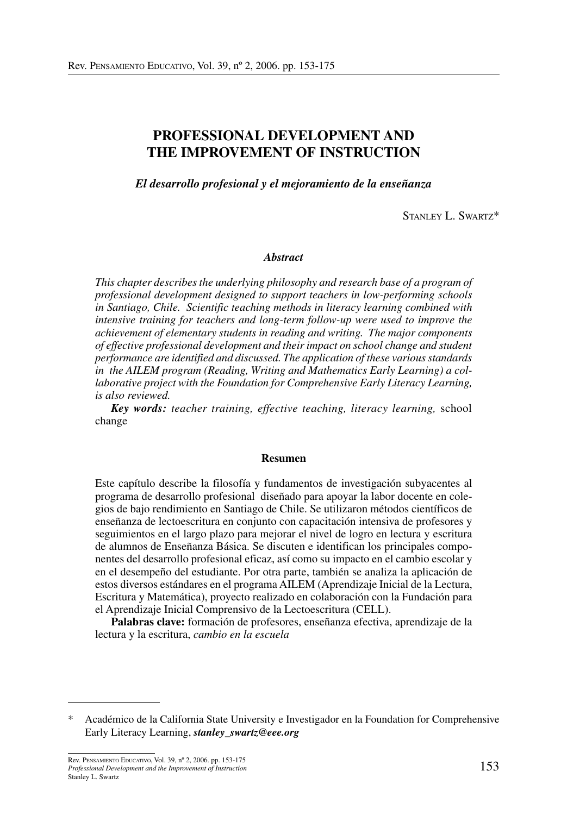# **PROFESSIONAL DEVELOPMENT AND THE IMPROVEMENT OF INSTRUCTION**

*El desarrollo profesional y el mejoramiento de la enseñanza*

STANLEY L. SWARTZ\*

#### *Abstract*

*This chapter describes the underlying philosophy and research base of a program of professional development designed to support teachers in low-performing schools in Santiago, Chile. Scientific teaching methods in literacy learning combined with intensive training for teachers and long-term follow-up were used to improve the achievement of elementary students in reading and writing. The major components of effective professional development and their impact on school change and student performance are identified and discussed. The application of these variousstandards in the AILEM program (Reading, Writing and Mathematics Early Learning) a collaborative project with the Foundation for Comprehensive Early Literacy Learning, is also reviewed.* 

*Key words: teacher training, effective teaching, literacy learning,* school change

#### **Resumen**

Este capítulo describe la filosofía y fundamentos de investigación subyacentes al programa de desarrollo profesional diseñado para apoyar la labor docente en colegios de bajo rendimiento en Santiago de Chile. Se utilizaron métodos científicos de enseñanza de lectoescritura en conjunto con capacitación intensiva de profesores y seguimientos en el largo plazo para mejorar el nivel de logro en lectura y escritura de alumnos de Enseñanza Básica. Se discuten e identifican los principales componentes del desarrollo profesional eficaz, así como su impacto en el cambio escolar y en el desempeño del estudiante. Por otra parte, también se analiza la aplicación de estos diversos estándares en el programa AILEM (Aprendizaje Inicial de la Lectura, Escritura y Matemática), proyecto realizado en colaboración con la Fundación para el Aprendizaje Inicial Comprensivo de la Lectoescritura (CELL).

**Palabras clave:** formación de profesores, enseñanza efectiva, aprendizaje de la lectura y la escritura, *cambio en la escuela*

<sup>\*</sup> Académico de la California State University e Investigador en la Foundation for Comprehensive Early Literacy Learning, *stanley\_swartz@eee.org*

<sup>153</sup> Rev. PENSAMIENTO EDUCATIVO, Vol. 39, nº 2, 2006. pp. 153-175 *Professional Development and the Improvement of Instruction* Stanley L. Swartz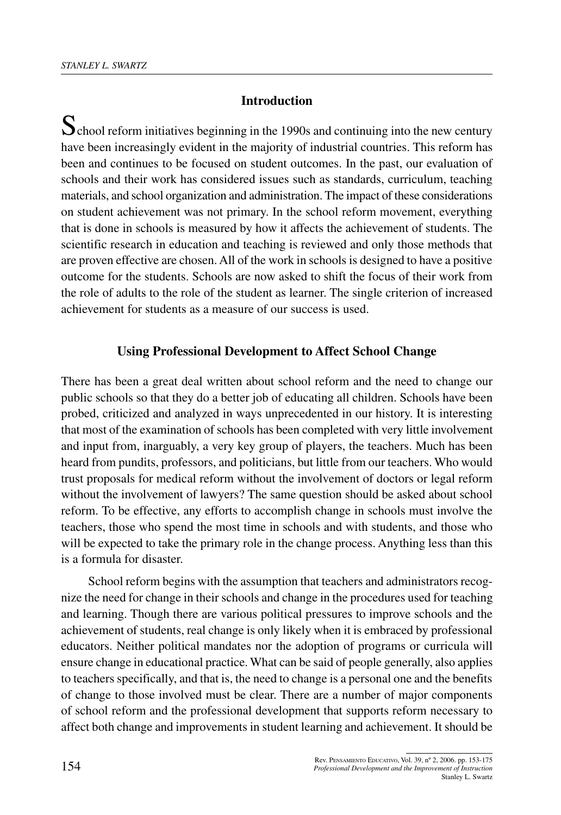#### **Introduction**

School reform initiatives beginning in the 1990s and continuing into the new century have been increasingly evident in the majority of industrial countries. This reform has been and continues to be focused on student outcomes. In the past, our evaluation of schools and their work has considered issues such as standards, curriculum, teaching materials, and school organization and administration. The impact of these considerations on student achievement was not primary. In the school reform movement, everything that is done in schools is measured by how it affects the achievement of students. The scientific research in education and teaching is reviewed and only those methods that are proven effective are chosen.All of the work in schools is designed to have a positive outcome for the students. Schools are now asked to shift the focus of their work from the role of adults to the role of the student as learner. The single criterion of increased achievement for students as a measure of our success is used.

#### **Using Professional Development to Affect School Change**

There has been a great deal written about school reform and the need to change our public schools so that they do a better job of educating all children. Schools have been probed, criticized and analyzed in ways unprecedented in our history. It is interesting that most of the examination of schools has been completed with very little involvement and input from, inarguably, a very key group of players, the teachers. Much has been heard from pundits, professors, and politicians, but little from our teachers. Who would trust proposals for medical reform without the involvement of doctors or legal reform without the involvement of lawyers? The same question should be asked about school reform. To be effective, any efforts to accomplish change in schools must involve the teachers, those who spend the most time in schools and with students, and those who will be expected to take the primary role in the change process. Anything less than this is a formula for disaster.

School reform begins with the assumption that teachers and administrators recognize the need for change in their schools and change in the procedures used for teaching and learning. Though there are various political pressures to improve schools and the achievement of students, real change is only likely when it is embraced by professional educators. Neither political mandates nor the adoption of programs or curricula will ensure change in educational practice. What can be said of people generally, also applies to teachers specifically, and that is, the need to change is a personal one and the benefits of change to those involved must be clear. There are a number of major components of school reform and the professional development that supports reform necessary to affect both change and improvements in student learning and achievement. It should be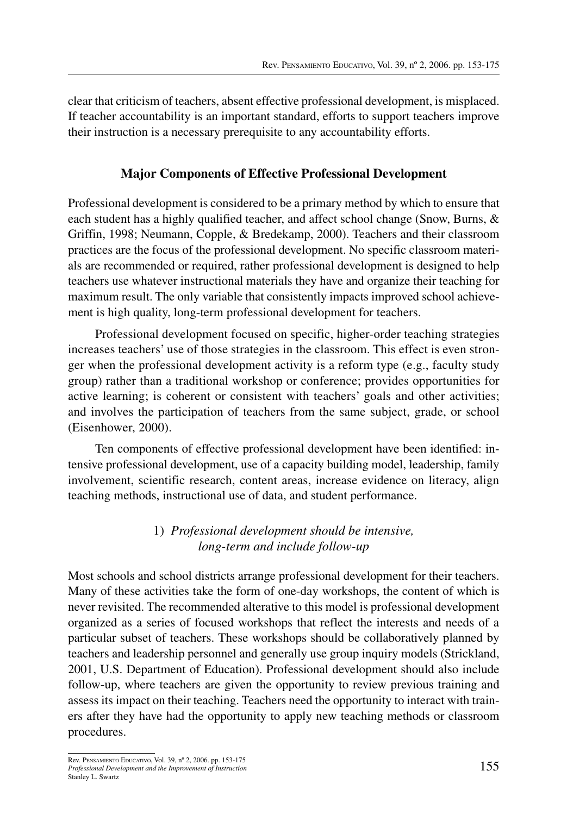clear that criticism of teachers, absent effective professional development, is misplaced. If teacher accountability is an important standard, efforts to support teachers improve their instruction is a necessary prerequisite to any accountability efforts.

## **Major Components of Effective Professional Development**

Professional development is considered to be a primary method by which to ensure that each student has a highly qualified teacher, and affect school change (Snow, Burns, & Griffin, 1998; Neumann, Copple, & Bredekamp, 2000). Teachers and their classroom practices are the focus of the professional development. No specific classroom materials are recommended or required, rather professional development is designed to help teachers use whatever instructional materials they have and organize their teaching for maximum result. The only variable that consistently impacts improved school achievement is high quality, long-term professional development for teachers.

Professional development focused on specific, higher-order teaching strategies increases teachers' use of those strategies in the classroom. This effect is even stronger when the professional development activity is a reform type (e.g., faculty study group) rather than a traditional workshop or conference; provides opportunities for active learning; is coherent or consistent with teachers' goals and other activities; and involves the participation of teachers from the same subject, grade, or school (Eisenhower, 2000).

Ten components of effective professional development have been identified: intensive professional development, use of a capacity building model, leadership, family involvement, scientific research, content areas, increase evidence on literacy, align teaching methods, instructional use of data, and student performance.

# 1) *Professional development should be intensive, long-term and include follow-up*

Most schools and school districts arrange professional development for their teachers. Many of these activities take the form of one-day workshops, the content of which is never revisited. The recommended alterative to this model is professional development organized as a series of focused workshops that reflect the interests and needs of a particular subset of teachers. These workshops should be collaboratively planned by teachers and leadership personnel and generally use group inquiry models (Strickland, 2001, U.S. Department of Education). Professional development should also include follow-up, where teachers are given the opportunity to review previous training and assess its impact on their teaching. Teachers need the opportunity to interact with trainers after they have had the opportunity to apply new teaching methods or classroom procedures.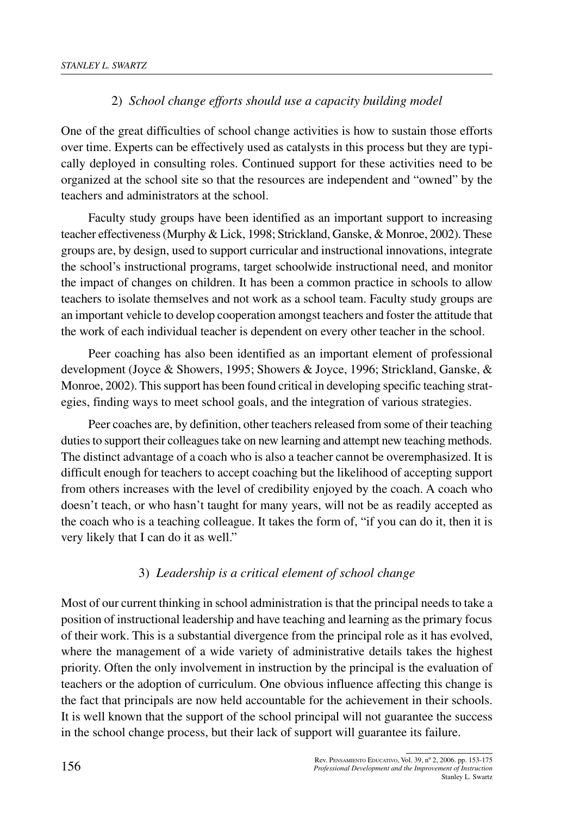# 2) *School change efforts should use a capacity building model*

One of the great difficulties of school change activities is how to sustain those efforts over time. Experts can be effectively used as catalysts in this process but they are typically deployed in consulting roles. Continued support for these activities need to be organized at the school site so that the resources are independent and "owned" by the teachers and administrators at the school.

Faculty study groups have been identified as an important support to increasing teacher effectiveness(Murphy & Lick, 1998; Strickland, Ganske, & Monroe, 2002). These groups are, by design, used to support curricular and instructional innovations, integrate the school's instructional programs, target schoolwide instructional need, and monitor the impact of changes on children. It has been a common practice in schools to allow teachers to isolate themselves and not work as a school team. Faculty study groups are an important vehicle to develop cooperation amongst teachers and foster the attitude that the work of each individual teacher is dependent on every other teacher in the school.

Peer coaching has also been identified as an important element of professional development (Joyce & Showers, 1995; Showers & Joyce, 1996; Strickland, Ganske, & Monroe, 2002). Thissupport has been found critical in developing specific teaching strategies, finding ways to meet school goals, and the integration of various strategies.

Peer coaches are, by definition, other teachers released from some of their teaching duties to support their colleagues take on new learning and attempt new teaching methods. The distinct advantage of a coach who is also a teacher cannot be overemphasized. It is difficult enough for teachers to accept coaching but the likelihood of accepting support from others increases with the level of credibility enjoyed by the coach. A coach who doesn't teach, or who hasn't taught for many years, will not be as readily accepted as the coach who is a teaching colleague. It takes the form of, "if you can do it, then it is very likely that I can do it as well."

# 3) *Leadership is a critical element of school change*

Most of our current thinking in school administration is that the principal needs to take a position of instructional leadership and have teaching and learning as the primary focus of their work. This is a substantial divergence from the principal role as it has evolved, where the management of a wide variety of administrative details takes the highest priority. Often the only involvement in instruction by the principal is the evaluation of teachers or the adoption of curriculum. One obvious influence affecting this change is the fact that principals are now held accountable for the achievement in their schools. It is well known that the support of the school principal will not guarantee the success in the school change process, but their lack of support will guarantee its failure.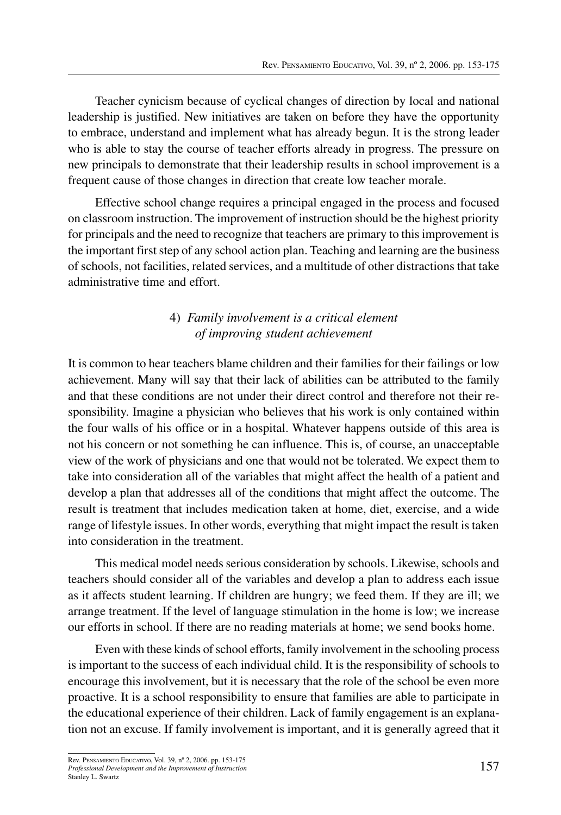Teacher cynicism because of cyclical changes of direction by local and national leadership is justified. New initiatives are taken on before they have the opportunity to embrace, understand and implement what has already begun. It is the strong leader who is able to stay the course of teacher efforts already in progress. The pressure on new principals to demonstrate that their leadership results in school improvement is a frequent cause of those changes in direction that create low teacher morale.

Effective school change requires a principal engaged in the process and focused on classroom instruction. The improvement of instruction should be the highest priority for principals and the need to recognize that teachers are primary to this improvement is the important first step of any school action plan. Teaching and learning are the business of schools, not facilities, related services, and a multitude of other distractions that take administrative time and effort.

## 4) *Family involvement is a critical element of improving student achievement*

It is common to hear teachers blame children and their families for their failings or low achievement. Many will say that their lack of abilities can be attributed to the family and that these conditions are not under their direct control and therefore not their responsibility. Imagine a physician who believes that his work is only contained within the four walls of his office or in a hospital. Whatever happens outside of this area is not his concern or not something he can influence. This is, of course, an unacceptable view of the work of physicians and one that would not be tolerated. We expect them to take into consideration all of the variables that might affect the health of a patient and develop a plan that addresses all of the conditions that might affect the outcome. The result is treatment that includes medication taken at home, diet, exercise, and a wide range of lifestyle issues. In other words, everything that might impact the result is taken into consideration in the treatment.

This medical model needs serious consideration by schools. Likewise, schools and teachers should consider all of the variables and develop a plan to address each issue as it affects student learning. If children are hungry; we feed them. If they are ill; we arrange treatment. If the level of language stimulation in the home is low; we increase our efforts in school. If there are no reading materials at home; we send books home.

Even with these kinds of school efforts, family involvement in the schooling process is important to the success of each individual child. It is the responsibility of schools to encourage this involvement, but it is necessary that the role of the school be even more proactive. It is a school responsibility to ensure that families are able to participate in the educational experience of their children. Lack of family engagement is an explanation not an excuse. If family involvement is important, and it is generally agreed that it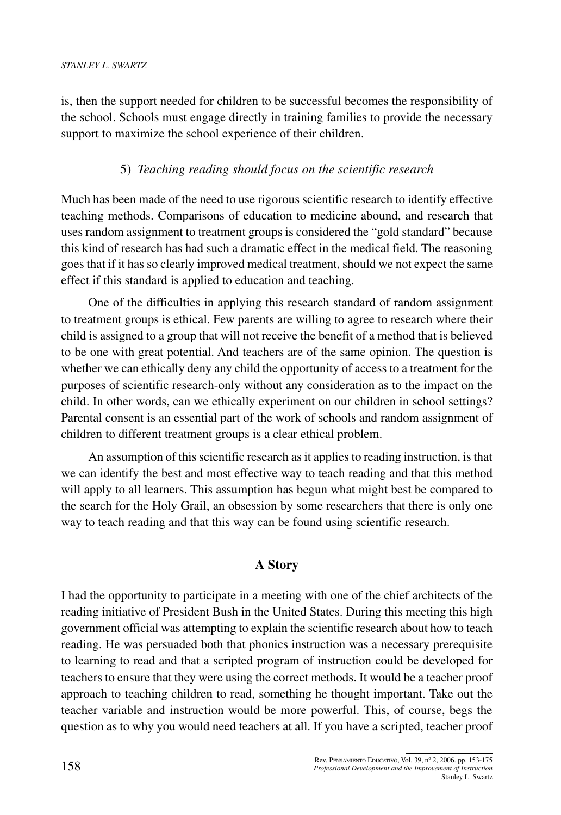is, then the support needed for children to be successful becomes the responsibility of the school. Schools must engage directly in training families to provide the necessary support to maximize the school experience of their children.

## 5) *Teaching reading should focus on the scientific research*

Much has been made of the need to use rigorous scientific research to identify effective teaching methods. Comparisons of education to medicine abound, and research that uses random assignment to treatment groups is considered the "gold standard" because this kind of research has had such a dramatic effect in the medical field. The reasoning goes that if it has so clearly improved medical treatment, should we not expect the same effect if this standard is applied to education and teaching.

One of the difficulties in applying this research standard of random assignment to treatment groups is ethical. Few parents are willing to agree to research where their child is assigned to a group that will not receive the benefit of a method that is believed to be one with great potential. And teachers are of the same opinion. The question is whether we can ethically deny any child the opportunity of access to a treatment for the purposes of scientific research-only without any consideration as to the impact on the child. In other words, can we ethically experiment on our children in school settings? Parental consent is an essential part of the work of schools and random assignment of children to different treatment groups is a clear ethical problem.

An assumption of this scientific research as it applies to reading instruction, is that we can identify the best and most effective way to teach reading and that this method will apply to all learners. This assumption has begun what might best be compared to the search for the Holy Grail, an obsession by some researchers that there is only one way to teach reading and that this way can be found using scientific research.

### **A Story**

I had the opportunity to participate in a meeting with one of the chief architects of the reading initiative of President Bush in the United States. During this meeting this high government official was attempting to explain the scientific research about how to teach reading. He was persuaded both that phonics instruction was a necessary prerequisite to learning to read and that a scripted program of instruction could be developed for teachers to ensure that they were using the correct methods. It would be a teacher proof approach to teaching children to read, something he thought important. Take out the teacher variable and instruction would be more powerful. This, of course, begs the question as to why you would need teachers at all. If you have a scripted, teacher proof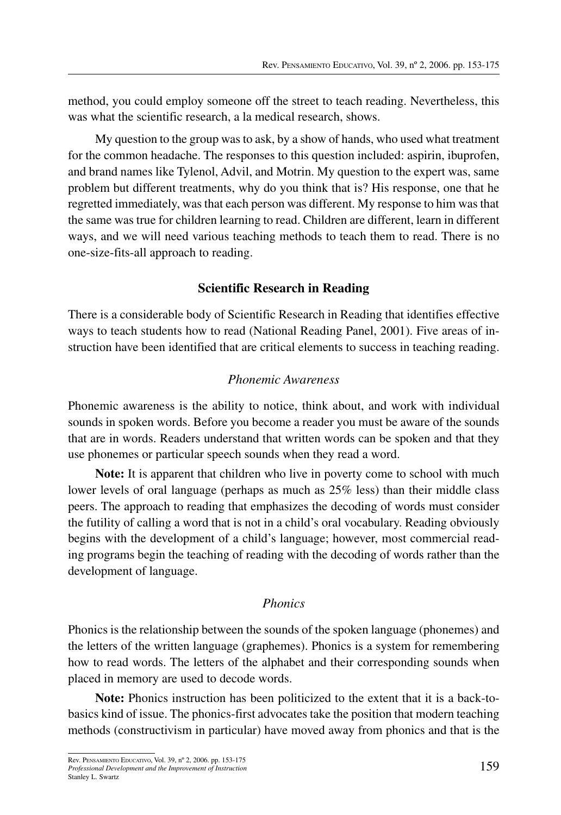method, you could employ someone off the street to teach reading. Nevertheless, this was what the scientific research, a la medical research, shows.

My question to the group wasto ask, by a show of hands, who used what treatment for the common headache. The responses to this question included: aspirin, ibuprofen, and brand names like Tylenol, Advil, and Motrin. My question to the expert was, same problem but different treatments, why do you think that is? His response, one that he regretted immediately, was that each person was different. My response to him was that the same was true for children learning to read. Children are different, learn in different ways, and we will need various teaching methods to teach them to read. There is no one-size-fits-all approach to reading.

## **Scientific Research in Reading**

There is a considerable body of Scientific Research in Reading that identifies effective ways to teach students how to read (National Reading Panel, 2001). Five areas of instruction have been identified that are critical elements to success in teaching reading.

## *Phonemic Awareness*

Phonemic awareness is the ability to notice, think about, and work with individual sounds in spoken words. Before you become a reader you must be aware of the sounds that are in words. Readers understand that written words can be spoken and that they use phonemes or particular speech sounds when they read a word.

**Note:** It is apparent that children who live in poverty come to school with much lower levels of oral language (perhaps as much as 25% less) than their middle class peers. The approach to reading that emphasizes the decoding of words must consider the futility of calling a word that is not in a child's oral vocabulary. Reading obviously begins with the development of a child's language; however, most commercial reading programs begin the teaching of reading with the decoding of words rather than the development of language.

## *Phonics*

Phonics is the relationship between the sounds of the spoken language (phonemes) and the letters of the written language (graphemes). Phonics is a system for remembering how to read words. The letters of the alphabet and their corresponding sounds when placed in memory are used to decode words.

**Note:** Phonics instruction has been politicized to the extent that it is a back-tobasics kind of issue. The phonics-first advocates take the position that modern teaching methods (constructivism in particular) have moved away from phonics and that is the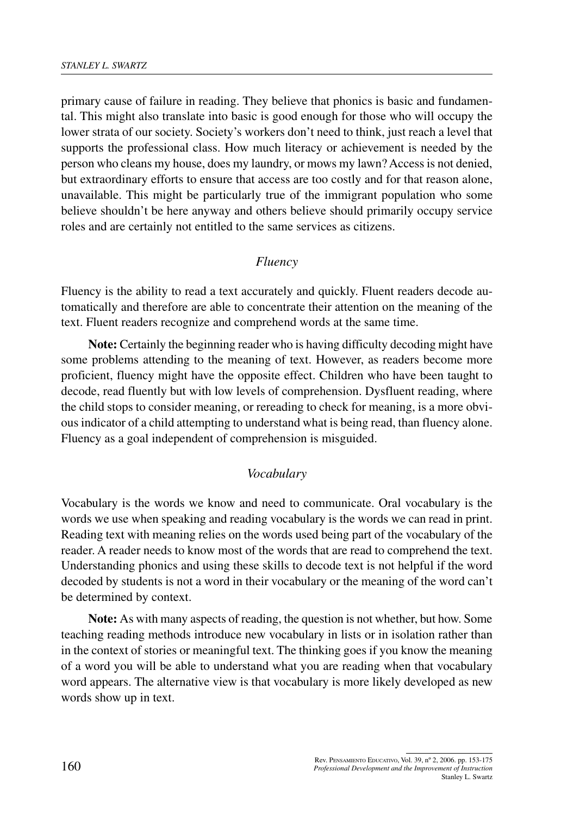primary cause of failure in reading. They believe that phonics is basic and fundamental. This might also translate into basic is good enough for those who will occupy the lower strata of our society. Society's workers don't need to think, just reach a level that supports the professional class. How much literacy or achievement is needed by the person who cleans my house, does my laundry, or mows my lawn?Accessis not denied, but extraordinary efforts to ensure that access are too costly and for that reason alone, unavailable. This might be particularly true of the immigrant population who some believe shouldn't be here anyway and others believe should primarily occupy service roles and are certainly not entitled to the same services as citizens.

#### *Fluency*

Fluency is the ability to read a text accurately and quickly. Fluent readers decode automatically and therefore are able to concentrate their attention on the meaning of the text. Fluent readers recognize and comprehend words at the same time.

**Note:** Certainly the beginning reader who is having difficulty decoding might have some problems attending to the meaning of text. However, as readers become more proficient, fluency might have the opposite effect. Children who have been taught to decode, read fluently but with low levels of comprehension. Dysfluent reading, where the child stops to consider meaning, or rereading to check for meaning, is a more obvious indicator of a child attempting to understand what is being read, than fluency alone. Fluency as a goal independent of comprehension is misguided.

#### *Vocabulary*

Vocabulary is the words we know and need to communicate. Oral vocabulary is the words we use when speaking and reading vocabulary is the words we can read in print. Reading text with meaning relies on the words used being part of the vocabulary of the reader. A reader needs to know most of the words that are read to comprehend the text. Understanding phonics and using these skills to decode text is not helpful if the word decoded by students is not a word in their vocabulary or the meaning of the word can't be determined by context.

**Note:** As with many aspects of reading, the question is not whether, but how. Some teaching reading methods introduce new vocabulary in lists or in isolation rather than in the context of stories or meaningful text. The thinking goes if you know the meaning of a word you will be able to understand what you are reading when that vocabulary word appears. The alternative view is that vocabulary is more likely developed as new words show up in text.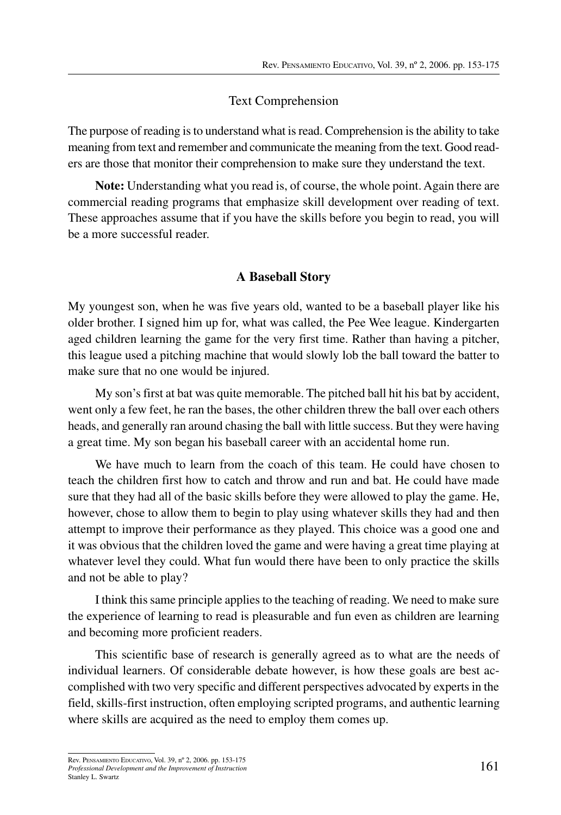#### Text Comprehension

The purpose of reading is to understand what is read. Comprehension is the ability to take meaning from text and remember and communicate the meaning from the text. Good readers are those that monitor their comprehension to make sure they understand the text.

**Note:** Understanding what you read is, of course, the whole point. Again there are commercial reading programs that emphasize skill development over reading of text. These approaches assume that if you have the skills before you begin to read, you will be a more successful reader.

### **A Baseball Story**

My youngest son, when he was five years old, wanted to be a baseball player like his older brother. I signed him up for, what was called, the Pee Wee league. Kindergarten aged children learning the game for the very first time. Rather than having a pitcher, this league used a pitching machine that would slowly lob the ball toward the batter to make sure that no one would be injured.

My son's first at bat was quite memorable. The pitched ball hit his bat by accident, went only a few feet, he ran the bases, the other children threw the ball over each others heads, and generally ran around chasing the ball with little success. But they were having a great time. My son began his baseball career with an accidental home run.

We have much to learn from the coach of this team. He could have chosen to teach the children first how to catch and throw and run and bat. He could have made sure that they had all of the basic skills before they were allowed to play the game. He, however, chose to allow them to begin to play using whatever skills they had and then attempt to improve their performance as they played. This choice was a good one and it was obvious that the children loved the game and were having a great time playing at whatever level they could. What fun would there have been to only practice the skills and not be able to play?

I think thissame principle appliesto the teaching of reading. We need to make sure the experience of learning to read is pleasurable and fun even as children are learning and becoming more proficient readers.

This scientific base of research is generally agreed as to what are the needs of individual learners. Of considerable debate however, is how these goals are best accomplished with two very specific and different perspectives advocated by experts in the field, skills-first instruction, often employing scripted programs, and authentic learning where skills are acquired as the need to employ them comes up.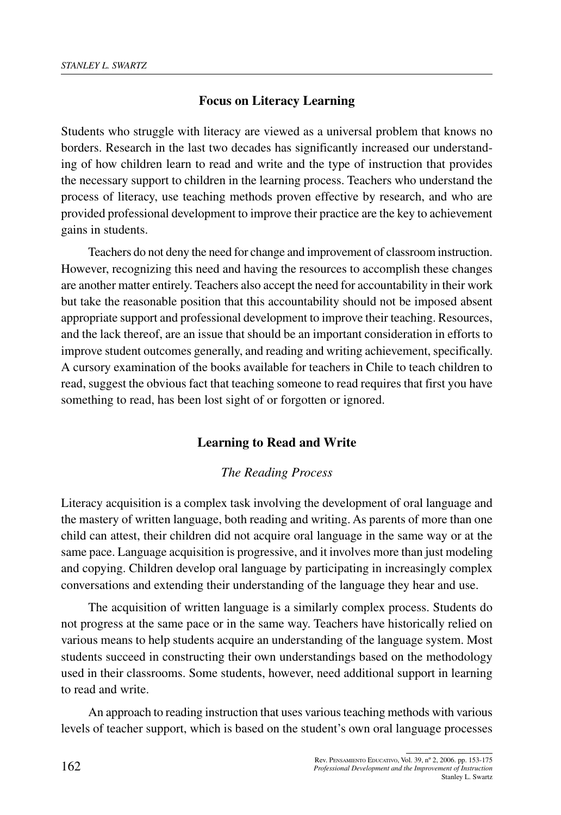### **Focus on Literacy Learning**

Students who struggle with literacy are viewed as a universal problem that knows no borders. Research in the last two decades has significantly increased our understanding of how children learn to read and write and the type of instruction that provides the necessary support to children in the learning process. Teachers who understand the process of literacy, use teaching methods proven effective by research, and who are provided professional development to improve their practice are the key to achievement gains in students.

Teachers do not deny the need for change and improvement of classroom instruction. However, recognizing this need and having the resources to accomplish these changes are another matter entirely. Teachers also accept the need for accountability in their work but take the reasonable position that this accountability should not be imposed absent appropriate support and professional development to improve their teaching. Resources, and the lack thereof, are an issue that should be an important consideration in efforts to improve student outcomes generally, and reading and writing achievement, specifically. A cursory examination of the books available for teachers in Chile to teach children to read, suggest the obvious fact that teaching someone to read requires that first you have something to read, has been lost sight of or forgotten or ignored.

### **Learning to Read and Write**

#### *The Reading Process*

Literacy acquisition is a complex task involving the development of oral language and the mastery of written language, both reading and writing. As parents of more than one child can attest, their children did not acquire oral language in the same way or at the same pace. Language acquisition is progressive, and it involves more than just modeling and copying. Children develop oral language by participating in increasingly complex conversations and extending their understanding of the language they hear and use.

The acquisition of written language is a similarly complex process. Students do not progress at the same pace or in the same way. Teachers have historically relied on various means to help students acquire an understanding of the language system. Most students succeed in constructing their own understandings based on the methodology used in their classrooms. Some students, however, need additional support in learning to read and write.

An approach to reading instruction that uses various teaching methods with various levels of teacher support, which is based on the student's own oral language processes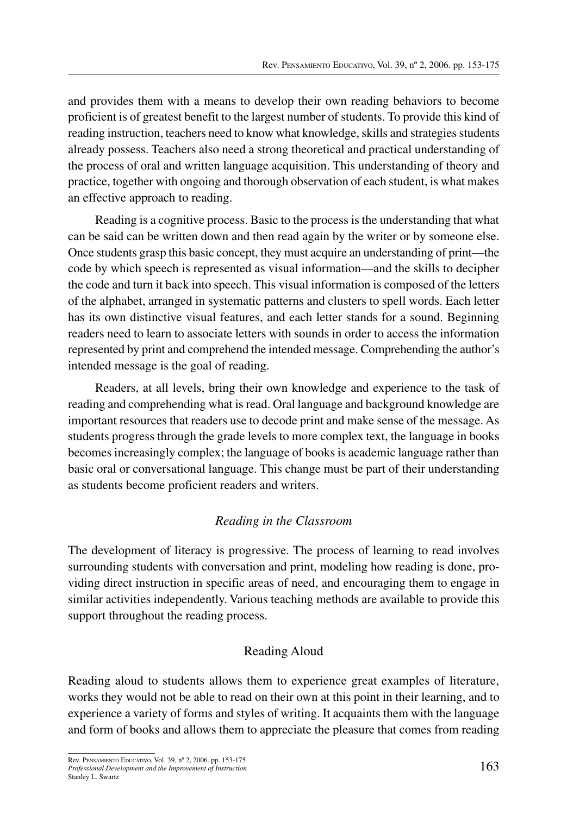and provides them with a means to develop their own reading behaviors to become proficient is of greatest benefit to the largest number of students. To provide this kind of reading instruction, teachers need to know what knowledge, skills and strategies students already possess. Teachers also need a strong theoretical and practical understanding of the process of oral and written language acquisition. This understanding of theory and practice, together with ongoing and thorough observation of each student, is what makes an effective approach to reading.

Reading is a cognitive process. Basic to the process is the understanding that what can be said can be written down and then read again by the writer or by someone else. Once students grasp this basic concept, they must acquire an understanding of print—the code by which speech is represented as visual information—and the skills to decipher the code and turn it back into speech. This visual information is composed of the letters of the alphabet, arranged in systematic patterns and clusters to spell words. Each letter has its own distinctive visual features, and each letter stands for a sound. Beginning readers need to learn to associate letters with sounds in order to access the information represented by print and comprehend the intended message. Comprehending the author's intended message is the goal of reading.

Readers, at all levels, bring their own knowledge and experience to the task of reading and comprehending what is read. Oral language and background knowledge are important resources that readers use to decode print and make sense of the message. As students progress through the grade levels to more complex text, the language in books becomes increasingly complex; the language of books is academic language rather than basic oral or conversational language. This change must be part of their understanding as students become proficient readers and writers.

## *Reading in the Classroom*

The development of literacy is progressive. The process of learning to read involves surrounding students with conversation and print, modeling how reading is done, providing direct instruction in specific areas of need, and encouraging them to engage in similar activities independently. Various teaching methods are available to provide this support throughout the reading process.

# Reading Aloud

Reading aloud to students allows them to experience great examples of literature, works they would not be able to read on their own at this point in their learning, and to experience a variety of forms and styles of writing. It acquaints them with the language and form of books and allows them to appreciate the pleasure that comes from reading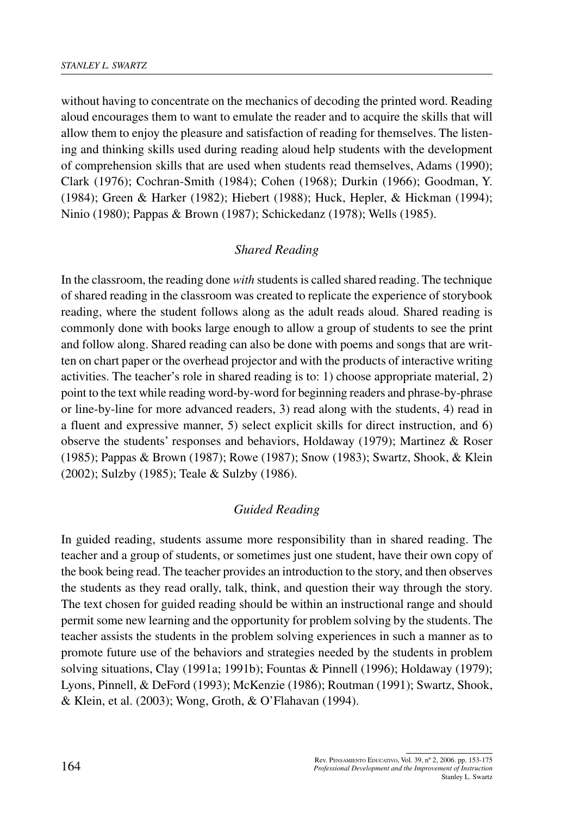without having to concentrate on the mechanics of decoding the printed word. Reading aloud encourages them to want to emulate the reader and to acquire the skills that will allow them to enjoy the pleasure and satisfaction of reading for themselves. The listening and thinking skills used during reading aloud help students with the development of comprehension skills that are used when students read themselves, Adams (1990); Clark (1976); Cochran-Smith (1984); Cohen (1968); Durkin (1966); Goodman, Y. (1984); Green & Harker (1982); Hiebert (1988); Huck, Hepler, & Hickman (1994); Ninio (1980); Pappas & Brown (1987); Schickedanz (1978); Wells (1985).

#### *Shared Reading*

In the classroom, the reading done *with* students is called shared reading. The technique of shared reading in the classroom was created to replicate the experience of storybook reading, where the student follows along as the adult reads aloud. Shared reading is commonly done with books large enough to allow a group of students to see the print and follow along. Shared reading can also be done with poems and songs that are written on chart paper or the overhead projector and with the products of interactive writing activities. The teacher's role in shared reading is to: 1) choose appropriate material, 2) point to the text while reading word-by-word for beginning readers and phrase-by-phrase or line-by-line for more advanced readers, 3) read along with the students, 4) read in a fluent and expressive manner, 5) select explicit skills for direct instruction, and 6) observe the students' responses and behaviors, Holdaway (1979); Martinez & Roser (1985); Pappas & Brown (1987); Rowe (1987); Snow (1983); Swartz, Shook, & Klein (2002); Sulzby (1985); Teale & Sulzby (1986).

### *Guided Reading*

In guided reading, students assume more responsibility than in shared reading. The teacher and a group of students, or sometimes just one student, have their own copy of the book being read. The teacher provides an introduction to the story, and then observes the students as they read orally, talk, think, and question their way through the story. The text chosen for guided reading should be within an instructional range and should permit some new learning and the opportunity for problem solving by the students. The teacher assists the students in the problem solving experiences in such a manner as to promote future use of the behaviors and strategies needed by the students in problem solving situations, Clay (1991a; 1991b); Fountas & Pinnell (1996); Holdaway (1979); Lyons, Pinnell, & DeFord (1993); McKenzie (1986); Routman (1991); Swartz, Shook, & Klein, et al. (2003); Wong, Groth, & O'Flahavan (1994).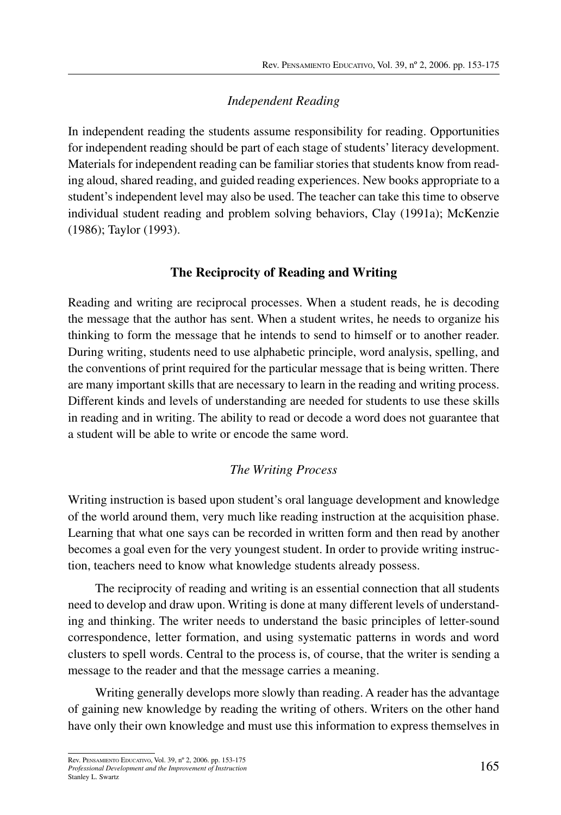## *Independent Reading*

In independent reading the students assume responsibility for reading. Opportunities for independent reading should be part of each stage of students'literacy development. Materials for independent reading can be familiar stories that students know from reading aloud, shared reading, and guided reading experiences. New books appropriate to a student's independent level may also be used. The teacher can take this time to observe individual student reading and problem solving behaviors, Clay (1991a); McKenzie (1986); Taylor (1993).

## **The Reciprocity of Reading and Writing**

Reading and writing are reciprocal processes. When a student reads, he is decoding the message that the author has sent. When a student writes, he needs to organize his thinking to form the message that he intends to send to himself or to another reader. During writing, students need to use alphabetic principle, word analysis, spelling, and the conventions of print required for the particular message that is being written. There are many important skills that are necessary to learn in the reading and writing process. Different kinds and levels of understanding are needed for students to use these skills in reading and in writing. The ability to read or decode a word does not guarantee that a student will be able to write or encode the same word.

## *The Writing Process*

Writing instruction is based upon student's oral language development and knowledge of the world around them, very much like reading instruction at the acquisition phase. Learning that what one says can be recorded in written form and then read by another becomes a goal even for the very youngest student. In order to provide writing instruction, teachers need to know what knowledge students already possess.

The reciprocity of reading and writing is an essential connection that all students need to develop and draw upon. Writing is done at many different levels of understanding and thinking. The writer needs to understand the basic principles of letter-sound correspondence, letter formation, and using systematic patterns in words and word clusters to spell words. Central to the process is, of course, that the writer is sending a message to the reader and that the message carries a meaning.

Writing generally develops more slowly than reading. A reader has the advantage of gaining new knowledge by reading the writing of others. Writers on the other hand have only their own knowledge and must use this information to express themselves in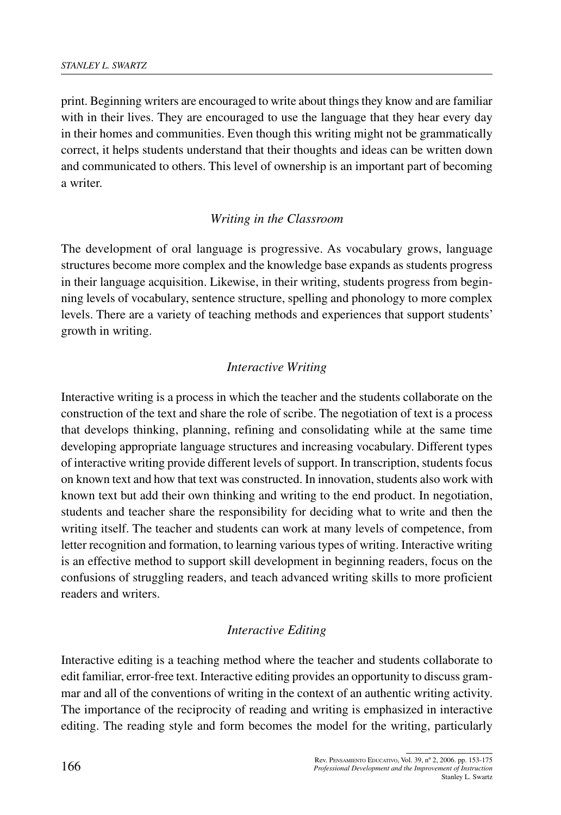print. Beginning writers are encouraged to write about things they know and are familiar with in their lives. They are encouraged to use the language that they hear every day in their homes and communities. Even though this writing might not be grammatically correct, it helps students understand that their thoughts and ideas can be written down and communicated to others. This level of ownership is an important part of becoming a writer.

## *Writing in the Classroom*

The development of oral language is progressive. As vocabulary grows, language structures become more complex and the knowledge base expands as students progress in their language acquisition. Likewise, in their writing, students progress from beginning levels of vocabulary, sentence structure, spelling and phonology to more complex levels. There are a variety of teaching methods and experiences that support students' growth in writing.

## *Interactive Writing*

Interactive writing is a process in which the teacher and the students collaborate on the construction of the text and share the role of scribe. The negotiation of text is a process that develops thinking, planning, refining and consolidating while at the same time developing appropriate language structures and increasing vocabulary. Different types of interactive writing provide different levels of support. In transcription, students focus on known text and how that text was constructed. In innovation, students also work with known text but add their own thinking and writing to the end product. In negotiation, students and teacher share the responsibility for deciding what to write and then the writing itself. The teacher and students can work at many levels of competence, from letter recognition and formation, to learning varioustypes of writing. Interactive writing is an effective method to support skill development in beginning readers, focus on the confusions of struggling readers, and teach advanced writing skills to more proficient readers and writers.

### *Interactive Editing*

Interactive editing is a teaching method where the teacher and students collaborate to edit familiar, error-free text. Interactive editing provides an opportunity to discuss grammar and all of the conventions of writing in the context of an authentic writing activity. The importance of the reciprocity of reading and writing is emphasized in interactive editing. The reading style and form becomes the model for the writing, particularly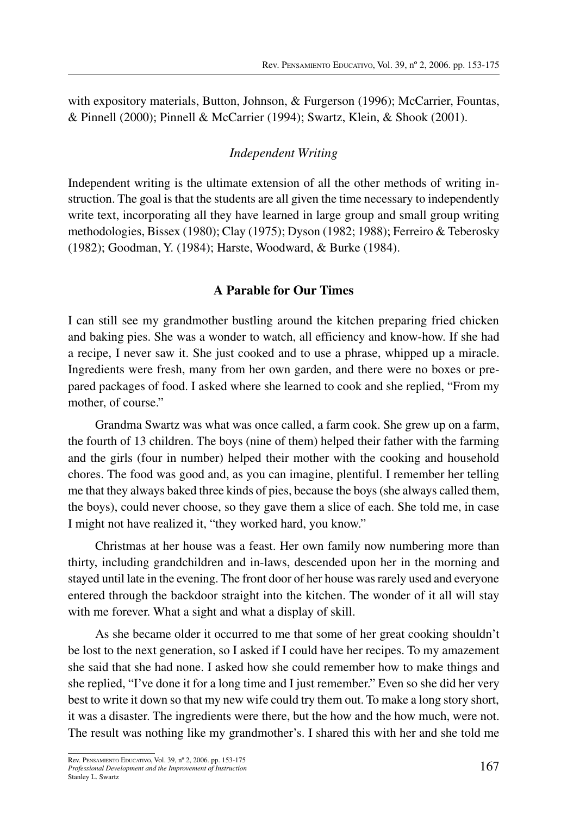with expository materials, Button, Johnson, & Furgerson (1996); McCarrier, Fountas, & Pinnell (2000); Pinnell & McCarrier (1994); Swartz, Klein, & Shook (2001).

#### *Independent Writing*

Independent writing is the ultimate extension of all the other methods of writing instruction. The goal is that the students are all given the time necessary to independently write text, incorporating all they have learned in large group and small group writing methodologies, Bissex (1980); Clay (1975); Dyson (1982; 1988); Ferreiro & Teberosky (1982); Goodman, Y. (1984); Harste, Woodward, & Burke (1984).

#### **A Parable for Our Times**

I can still see my grandmother bustling around the kitchen preparing fried chicken and baking pies. She was a wonder to watch, all efficiency and know-how. If she had a recipe, I never saw it. She just cooked and to use a phrase, whipped up a miracle. Ingredients were fresh, many from her own garden, and there were no boxes or prepared packages of food. I asked where she learned to cook and she replied, "From my mother, of course."

Grandma Swartz was what was once called, a farm cook. She grew up on a farm, the fourth of 13 children. The boys (nine of them) helped their father with the farming and the girls (four in number) helped their mother with the cooking and household chores. The food was good and, as you can imagine, plentiful. I remember her telling me that they always baked three kinds of pies, because the boys(she always called them, the boys), could never choose, so they gave them a slice of each. She told me, in case I might not have realized it, "they worked hard, you know."

Christmas at her house was a feast. Her own family now numbering more than thirty, including grandchildren and in-laws, descended upon her in the morning and stayed until late in the evening. The front door of her house wasrarely used and everyone entered through the backdoor straight into the kitchen. The wonder of it all will stay with me forever. What a sight and what a display of skill.

As she became older it occurred to me that some of her great cooking shouldn't be lost to the next generation, so I asked if I could have her recipes. To my amazement she said that she had none. I asked how she could remember how to make things and she replied, "I've done it for a long time and I just remember." Even so she did her very best to write it down so that my new wife could try them out. To make a long story short, it was a disaster. The ingredients were there, but the how and the how much, were not. The result was nothing like my grandmother's. I shared this with her and she told me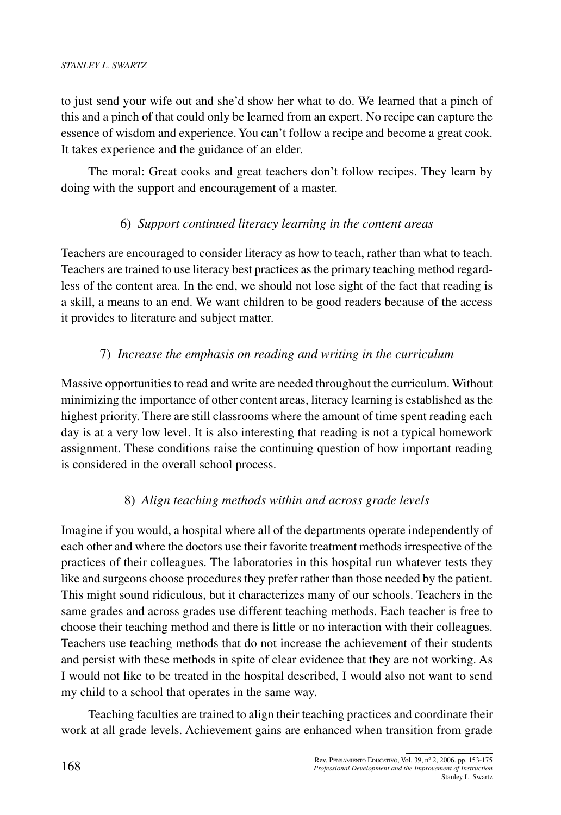to just send your wife out and she'd show her what to do. We learned that a pinch of this and a pinch of that could only be learned from an expert. No recipe can capture the essence of wisdom and experience. You can't follow a recipe and become a great cook. It takes experience and the guidance of an elder.

The moral: Great cooks and great teachers don't follow recipes. They learn by doing with the support and encouragement of a master.

## 6) *Support continued literacy learning in the content areas*

Teachers are encouraged to consider literacy as how to teach, rather than what to teach. Teachers are trained to use literacy best practices asthe primary teaching method regardless of the content area. In the end, we should not lose sight of the fact that reading is a skill, a means to an end. We want children to be good readers because of the access it provides to literature and subject matter.

## 7) *Increase the emphasis on reading and writing in the curriculum*

Massive opportunities to read and write are needed throughout the curriculum. Without minimizing the importance of other content areas, literacy learning is established as the highest priority. There are still classrooms where the amount of time spent reading each day is at a very low level. It is also interesting that reading is not a typical homework assignment. These conditions raise the continuing question of how important reading is considered in the overall school process.

## 8) *Align teaching methods within and across grade levels*

Imagine if you would, a hospital where all of the departments operate independently of each other and where the doctors use their favorite treatment methodsirrespective of the practices of their colleagues. The laboratories in this hospital run whatever tests they like and surgeons choose procedures they prefer rather than those needed by the patient. This might sound ridiculous, but it characterizes many of our schools. Teachers in the same grades and across grades use different teaching methods. Each teacher is free to choose their teaching method and there is little or no interaction with their colleagues. Teachers use teaching methods that do not increase the achievement of their students and persist with these methods in spite of clear evidence that they are not working. As I would not like to be treated in the hospital described, I would also not want to send my child to a school that operates in the same way.

Teaching faculties are trained to align their teaching practices and coordinate their work at all grade levels. Achievement gains are enhanced when transition from grade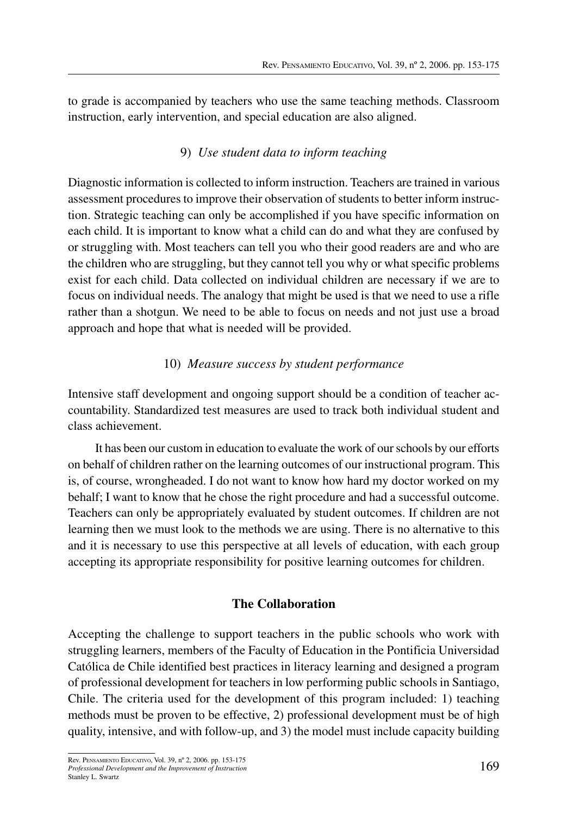to grade is accompanied by teachers who use the same teaching methods. Classroom instruction, early intervention, and special education are also aligned.

## 9) *Use student data to inform teaching*

Diagnostic information is collected to inform instruction. Teachers are trained in various assessment procedures to improve their observation of students to better inform instruction. Strategic teaching can only be accomplished if you have specific information on each child. It is important to know what a child can do and what they are confused by or struggling with. Most teachers can tell you who their good readers are and who are the children who are struggling, but they cannot tell you why or what specific problems exist for each child. Data collected on individual children are necessary if we are to focus on individual needs. The analogy that might be used is that we need to use a rifle rather than a shotgun. We need to be able to focus on needs and not just use a broad approach and hope that what is needed will be provided.

# 10) *Measure success by student performance*

Intensive staff development and ongoing support should be a condition of teacher accountability. Standardized test measures are used to track both individual student and class achievement.

It has been our custom in education to evaluate the work of ourschools by our efforts on behalf of children rather on the learning outcomes of our instructional program. This is, of course, wrongheaded. I do not want to know how hard my doctor worked on my behalf; I want to know that he chose the right procedure and had a successful outcome. Teachers can only be appropriately evaluated by student outcomes. If children are not learning then we must look to the methods we are using. There is no alternative to this and it is necessary to use this perspective at all levels of education, with each group accepting its appropriate responsibility for positive learning outcomes for children.

# **The Collaboration**

Accepting the challenge to support teachers in the public schools who work with struggling learners, members of the Faculty of Education in the Pontificia Universidad Católica de Chile identified best practices in literacy learning and designed a program of professional development for teachers in low performing public schools in Santiago, Chile. The criteria used for the development of this program included: 1) teaching methods must be proven to be effective, 2) professional development must be of high quality, intensive, and with follow-up, and 3) the model must include capacity building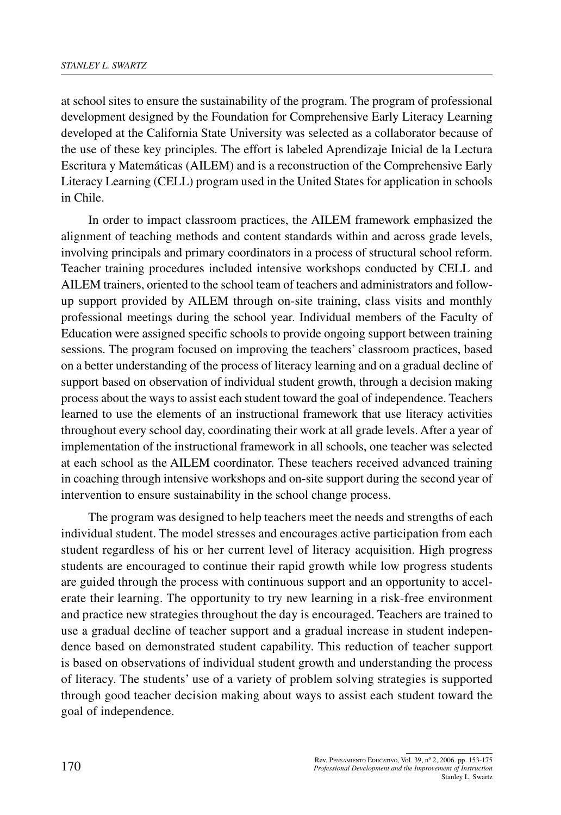at school sites to ensure the sustainability of the program. The program of professional development designed by the Foundation for Comprehensive Early Literacy Learning developed at the California State University was selected as a collaborator because of the use of these key principles. The effort is labeled Aprendizaje Inicial de la Lectura Escritura y Matemáticas (AILEM) and is a reconstruction of the Comprehensive Early Literacy Learning (CELL) program used in the United States for application in schools in Chile.

In order to impact classroom practices, the AILEM framework emphasized the alignment of teaching methods and content standards within and across grade levels, involving principals and primary coordinators in a process of structural school reform. Teacher training procedures included intensive workshops conducted by CELL and AILEM trainers, oriented to the school team of teachers and administrators and followup support provided by AILEM through on-site training, class visits and monthly professional meetings during the school year. Individual members of the Faculty of Education were assigned specific schools to provide ongoing support between training sessions. The program focused on improving the teachers' classroom practices, based on a better understanding of the process of literacy learning and on a gradual decline of support based on observation of individual student growth, through a decision making process about the ways to assist each student toward the goal of independence. Teachers learned to use the elements of an instructional framework that use literacy activities throughout every school day, coordinating their work at all grade levels. After a year of implementation of the instructional framework in all schools, one teacher was selected at each school as the AILEM coordinator. These teachers received advanced training in coaching through intensive workshops and on-site support during the second year of intervention to ensure sustainability in the school change process.

The program was designed to help teachers meet the needs and strengths of each individual student. The model stresses and encourages active participation from each student regardless of his or her current level of literacy acquisition. High progress students are encouraged to continue their rapid growth while low progress students are guided through the process with continuous support and an opportunity to accelerate their learning. The opportunity to try new learning in a risk-free environment and practice new strategies throughout the day is encouraged. Teachers are trained to use a gradual decline of teacher support and a gradual increase in student independence based on demonstrated student capability. This reduction of teacher support is based on observations of individual student growth and understanding the process of literacy. The students' use of a variety of problem solving strategies is supported through good teacher decision making about ways to assist each student toward the goal of independence.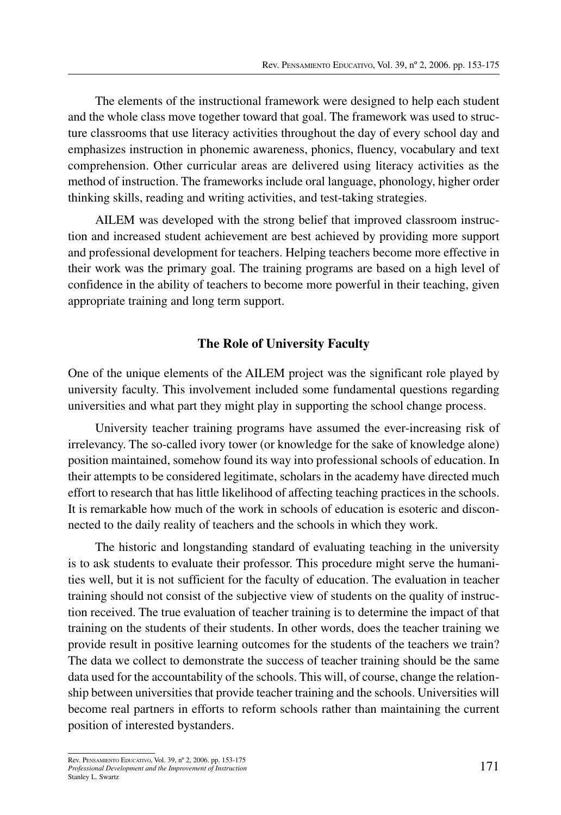The elements of the instructional framework were designed to help each student and the whole class move together toward that goal. The framework was used to structure classrooms that use literacy activities throughout the day of every school day and emphasizes instruction in phonemic awareness, phonics, fluency, vocabulary and text comprehension. Other curricular areas are delivered using literacy activities as the method of instruction. The frameworks include oral language, phonology, higher order thinking skills, reading and writing activities, and test-taking strategies.

AILEM was developed with the strong belief that improved classroom instruction and increased student achievement are best achieved by providing more support and professional development for teachers. Helping teachers become more effective in their work was the primary goal. The training programs are based on a high level of confidence in the ability of teachers to become more powerful in their teaching, given appropriate training and long term support.

## **The Role of University Faculty**

One of the unique elements of the AILEM project was the significant role played by university faculty. This involvement included some fundamental questions regarding universities and what part they might play in supporting the school change process.

University teacher training programs have assumed the ever-increasing risk of irrelevancy. The so-called ivory tower (or knowledge for the sake of knowledge alone) position maintained, somehow found its way into professional schools of education. In their attempts to be considered legitimate, scholars in the academy have directed much effort to research that has little likelihood of affecting teaching practices in the schools. It is remarkable how much of the work in schools of education is esoteric and disconnected to the daily reality of teachers and the schools in which they work.

The historic and longstanding standard of evaluating teaching in the university is to ask students to evaluate their professor. This procedure might serve the humanities well, but it is not sufficient for the faculty of education. The evaluation in teacher training should not consist of the subjective view of students on the quality of instruction received. The true evaluation of teacher training is to determine the impact of that training on the students of their students. In other words, does the teacher training we provide result in positive learning outcomes for the students of the teachers we train? The data we collect to demonstrate the success of teacher training should be the same data used for the accountability of the schools. This will, of course, change the relationship between universities that provide teacher training and the schools. Universities will become real partners in efforts to reform schools rather than maintaining the current position of interested bystanders.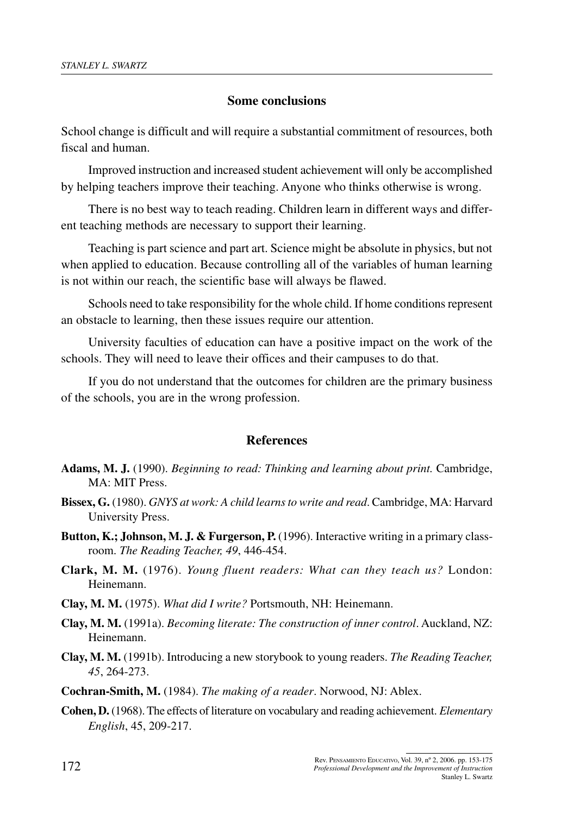## **Some conclusions**

School change is difficult and will require a substantial commitment of resources, both fiscal and human.

Improved instruction and increased student achievement will only be accomplished by helping teachers improve their teaching. Anyone who thinks otherwise is wrong.

There is no best way to teach reading. Children learn in different ways and different teaching methods are necessary to support their learning.

Teaching is part science and part art. Science might be absolute in physics, but not when applied to education. Because controlling all of the variables of human learning is not within our reach, the scientific base will always be flawed.

Schools need to take responsibility for the whole child. If home conditions represent an obstacle to learning, then these issues require our attention.

University faculties of education can have a positive impact on the work of the schools. They will need to leave their offices and their campuses to do that.

If you do not understand that the outcomes for children are the primary business of the schools, you are in the wrong profession.

### **References**

- **Adams, M. J.** (1990). *Beginning to read: Thinking and learning about print.* Cambridge, MA: MIT Press.
- **Bissex, G.** (1980). *GNYS at work: A child learnsto write and read*. Cambridge, MA: Harvard University Press.
- **Button, K.; Johnson, M. J. & Furgerson, P.** (1996). Interactive writing in a primary classroom. *The Reading Teacher, 49*, 446-454.
- **Clark, M. M.** (1976). *Young fluent readers: What can they teach us?* London: Heinemann.
- **Clay, M. M.** (1975). *What did I write?* Portsmouth, NH: Heinemann.
- **Clay, M. M.** (1991a). *Becoming literate: The construction of inner control*. Auckland, NZ: Heinemann.
- **Clay, M. M.** (1991b). Introducing a new storybook to young readers. *The Reading Teacher, 45*, 264-273.

**Cochran-Smith, M.** (1984). *The making of a reader*. Norwood, NJ: Ablex.

**Cohen, D.** (1968). The effects of literature on vocabulary and reading achievement. *Elementary English*, 45, 209-217.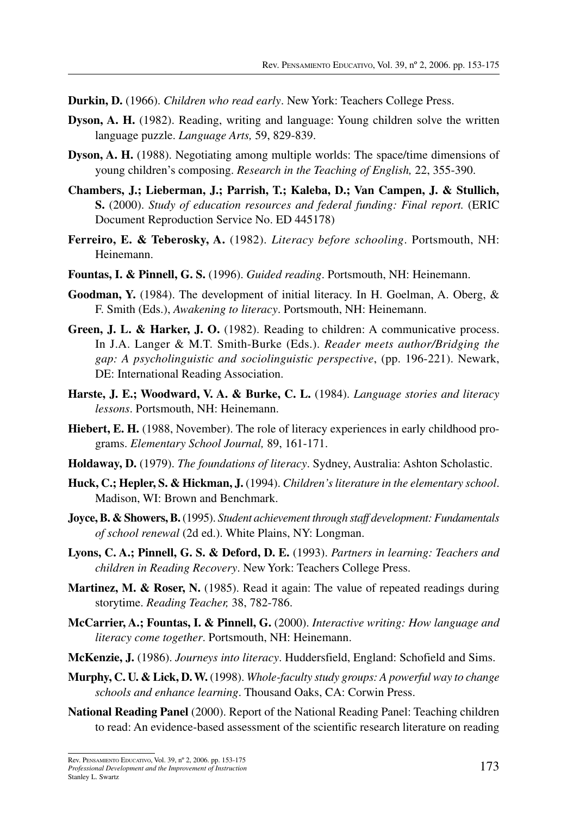- **Durkin, D.** (1966). *Children who read early*. New York: Teachers College Press.
- **Dyson, A. H.** (1982). Reading, writing and language: Young children solve the written language puzzle. *Language Arts,* 59, 829-839.
- **Dyson, A. H.** (1988). Negotiating among multiple worlds: The space/time dimensions of young children's composing. *Research in the Teaching of English,* 22, 355-390.
- **Chambers, J.; Lieberman, J.; Parrish, T.; Kaleba, D.; Van Campen, J. & Stullich, S.** (2000). *Study of education resources and federal funding: Final report.* (ERIC Document Reproduction Service No. ED 445178)
- **Ferreiro, E. & Teberosky, A.** (1982). *Literacy before schooling*. Portsmouth, NH: Heinemann.
- **Fountas, I. & Pinnell, G. S.** (1996). *Guided reading*. Portsmouth, NH: Heinemann.
- **Goodman, Y.** (1984). The development of initial literacy. In H. Goelman, A. Oberg, & F. Smith (Eds.), *Awakening to literacy*. Portsmouth, NH: Heinemann.
- **Green, J. L. & Harker, J. O.** (1982). Reading to children: A communicative process. In J.A. Langer & M.T. Smith-Burke (Eds.). *Reader meets author/Bridging the gap: A psycholinguistic and sociolinguistic perspective*, (pp. 196-221). Newark, DE: International Reading Association.
- **Harste, J. E.; Woodward, V. A. & Burke, C. L.** (1984). *Language stories and literacy lessons*. Portsmouth, NH: Heinemann.
- **Hiebert, E. H.** (1988, November). The role of literacy experiences in early childhood programs. *Elementary School Journal,* 89, 161-171.
- **Holdaway, D.** (1979). *The foundations of literacy*. Sydney, Australia: Ashton Scholastic.
- **Huck, C.; Hepler, S. & Hickman, J.** (1994). *Children's literature in the elementary school*. Madison, WI: Brown and Benchmark.
- **Joyce,B. & Showers,B.**(1995). *Student achievement through staff development: Fundamentals of school renewal* (2d ed.). White Plains, NY: Longman.
- **Lyons, C. A.; Pinnell, G. S. & Deford, D. E.** (1993). *Partners in learning: Teachers and children in Reading Recovery*. New York: Teachers College Press.
- **Martinez, M. & Roser, N.** (1985). Read it again: The value of repeated readings during storytime. *Reading Teacher,* 38, 782-786.
- **McCarrier, A.; Fountas, I. & Pinnell, G.** (2000). *Interactive writing: How language and literacy come together*. Portsmouth, NH: Heinemann.
- **McKenzie, J.** (1986). *Journeys into literacy*. Huddersfield, England: Schofield and Sims.
- **Murphy, C. U. & Lick, D.W.** (1998). *Whole-faculty study groups: A powerful way to change schools and enhance learning*. Thousand Oaks, CA: Corwin Press.
- **National Reading Panel** (2000). Report of the National Reading Panel: Teaching children to read: An evidence-based assessment of the scientific research literature on reading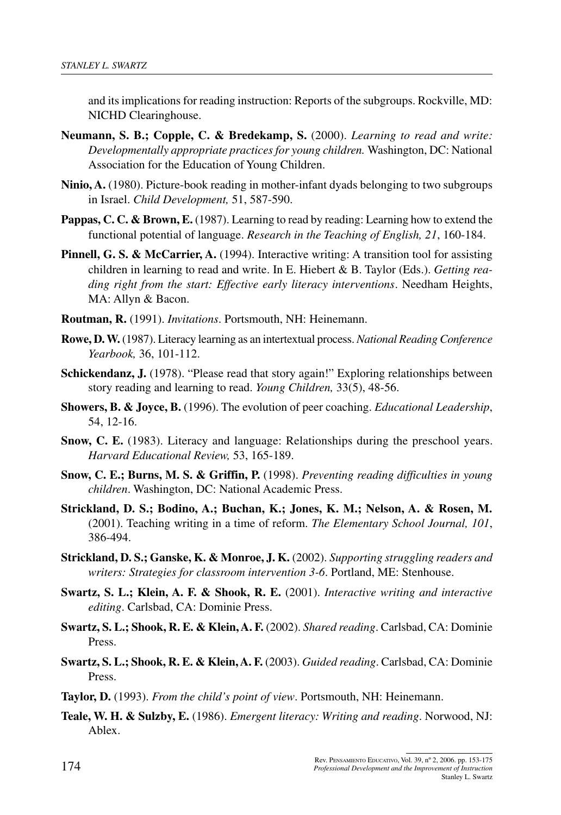and its implications for reading instruction: Reports of the subgroups. Rockville, MD: NICHD Clearinghouse.

- **Neumann, S. B.; Copple, C. & Bredekamp, S.** (2000). *Learning to read and write: Developmentally appropriate practicesfor young children.* Washington, DC: National Association for the Education of Young Children.
- **Ninio, A.** (1980). Picture-book reading in mother-infant dyads belonging to two subgroups in Israel. *Child Development,* 51, 587-590.
- **Pappas, C. C. & Brown, E.** (1987). Learning to read by reading: Learning how to extend the functional potential of language. *Research in the Teaching of English, 21*, 160-184.
- **Pinnell, G. S. & McCarrier, A.** (1994). Interactive writing: A transition tool for assisting children in learning to read and write. In E. Hiebert & B. Taylor (Eds.). *Getting reading right from the start: Effective early literacy interventions*. Needham Heights, MA: Allyn & Bacon.
- **Routman, R.** (1991). *Invitations*. Portsmouth, NH: Heinemann.
- **Rowe, D.W.** (1987). Literacy learning as an intertextual process. *National Reading Conference Yearbook,* 36, 101-112.
- **Schickendanz, J.** (1978). "Please read that story again!" Exploring relationships between story reading and learning to read. *Young Children,* 33(5), 48-56.
- **Showers, B. & Joyce, B.** (1996). The evolution of peer coaching. *Educational Leadership*, 54, 12-16.
- **Snow, C. E.** (1983). Literacy and language: Relationships during the preschool years. *Harvard Educational Review,* 53, 165-189.
- **Snow, C. E.; Burns, M. S. & Griffin, P.** (1998). *Preventing reading difficulties in young children*. Washington, DC: National Academic Press.
- **Strickland, D. S.; Bodino, A.; Buchan, K.; Jones, K. M.; Nelson, A. & Rosen, M.** (2001). Teaching writing in a time of reform. *The Elementary School Journal, 101*, 386-494.
- **Strickland, D. S.; Ganske, K. & Monroe, J. K.** (2002). *Supporting struggling readers and writers: Strategies for classroom intervention 3-6*. Portland, ME: Stenhouse.
- **Swartz, S. L.; Klein, A. F. & Shook, R. E.** (2001). *Interactive writing and interactive editing*. Carlsbad, CA: Dominie Press.
- **Swartz, S. L.; Shook, R. E. & Klein,A. F.** (2002). *Shared reading*. Carlsbad, CA: Dominie Press.
- **Swartz, S. L.; Shook, R. E. & Klein,A. F.** (2003). *Guided reading*. Carlsbad, CA: Dominie Press.
- **Taylor, D.** (1993). *From the child's point of view*. Portsmouth, NH: Heinemann.
- **Teale, W. H. & Sulzby, E.** (1986). *Emergent literacy: Writing and reading*. Norwood, NJ: Ablex.